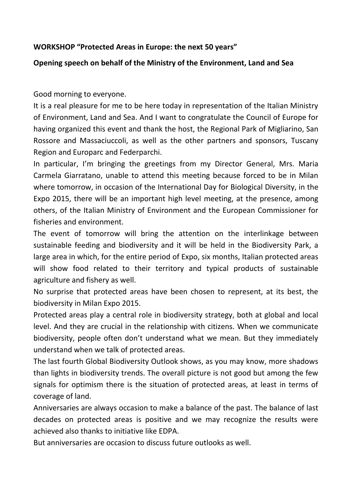## **WORKSHOP "Protected Areas in Europe: the next 50 years"**

## **Opening speech on behalf of the Ministry of the Environment, Land and Sea**

Good morning to everyone.

It is a real pleasure for me to be here today in representation of the Italian Ministry of Environment, Land and Sea. And I want to congratulate the Council of Europe for having organized this event and thank the host, the Regional Park of Migliarino, San Rossore and Massaciuccoli, as well as the other partners and sponsors, Tuscany Region and Europarc and Federparchi.

In particular, I'm bringing the greetings from my Director General, Mrs. Maria Carmela Giarratano, unable to attend this meeting because forced to be in Milan where tomorrow, in occasion of the International Day for Biological Diversity, in the Expo 2015, there will be an important high level meeting, at the presence, among others, of the Italian Ministry of Environment and the European Commissioner for fisheries and environment.

The event of tomorrow will bring the attention on the interlinkage between sustainable feeding and biodiversity and it will be held in the Biodiversity Park, a large area in which, for the entire period of Expo, six months, Italian protected areas will show food related to their territory and typical products of sustainable agriculture and fishery as well.

No surprise that protected areas have been chosen to represent, at its best, the biodiversity in Milan Expo 2015.

Protected areas play a central role in biodiversity strategy, both at global and local level. And they are crucial in the relationship with citizens. When we communicate biodiversity, people often don't understand what we mean. But they immediately understand when we talk of protected areas.

The last fourth Global Biodiversity Outlook shows, as you may know, more shadows than lights in biodiversity trends. The overall picture is not good but among the few signals for optimism there is the situation of protected areas, at least in terms of coverage of land.

Anniversaries are always occasion to make a balance of the past. The balance of last decades on protected areas is positive and we may recognize the results were achieved also thanks to initiative like EDPA.

But anniversaries are occasion to discuss future outlooks as well.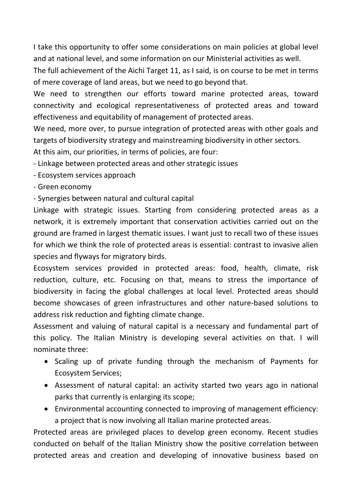I take this opportunity to offer some considerations on main policies at global level and at national level, and some information on our Ministerial activities as well.

The full achievement of the Aichi Target 11, as I said, is on course to be met in terms of mere coverage of land areas, but we need to go beyond that.

We need to strengthen our efforts toward marine protected areas, toward connectivity and ecological representativeness of protected areas and toward effectiveness and equitability of management of protected areas.

We need, more over, to pursue integration of protected areas with other goals and targets of biodiversity strategy and mainstreaming biodiversity in other sectors. At this aim, our priorities, in terms of policies, are four:

- Linkage between protected areas and other strategic issues

- Ecosystem services approach
- Green economy

- Synergies between natural and cultural capital

Linkage with strategic issues. Starting from considering protected areas as a network, it is extremely important that conservation activities carried out on the ground are framed in largest thematic issues. I want just to recall two of these issues for which we think the role of protected areas is essential: contrast to invasive alien species and flyways for migratory birds.

Ecosystem services provided in protected areas: food, health, climate, risk reduction, culture, etc. Focusing on that, means to stress the importance of biodiversity in facing the global challenges at local level. Protected areas should become showcases of green infrastructures and other nature-based solutions to address risk reduction and fighting climate change.

Assessment and valuing of natural capital is a necessary and fundamental part of this policy. The Italian Ministry is developing several activities on that. I will nominate three:

- Scaling up of private funding through the mechanism of Payments for Ecosystem Services;
- Assessment of natural capital: an activity started two years ago in national parks that currently is enlarging its scope;
- Environmental accounting connected to improving of management efficiency: a project that is now involving all Italian marine protected areas.

Protected areas are privileged places to develop green economy. Recent studies conducted on behalf of the Italian Ministry show the positive correlation between protected areas and creation and developing of innovative business based on